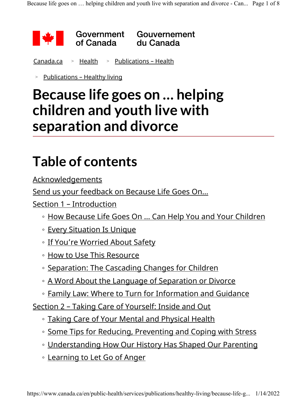

<u>Canada.ca > Health</u> > <u>Publications – Health</u>

> Publications – Healthy living

### Because life goes on … helping children and youth live with separation and divorce

## Table of contents

Acknowledgements

Send us your feedback on Because Life Goes On…

Section 1 – Introduction

- How Because Life Goes On … Can Help You and Your Children
- Every Situation Is Unique
- If You're Worried About Safety
- How to Use This Resource
- Separation: The Cascading Changes for Children
- A Word About the Language of Separation or Divorce
- Family Law: Where to Turn for Information and Guidance

Section 2 – Taking Care of Yourself: Inside and Out

- Taking Care of Your Mental and Physical Health
- Some Tips for Reducing, Preventing and Coping with Stress
- Understanding How Our History Has Shaped Our Parenting
- Learning to Let Go of Anger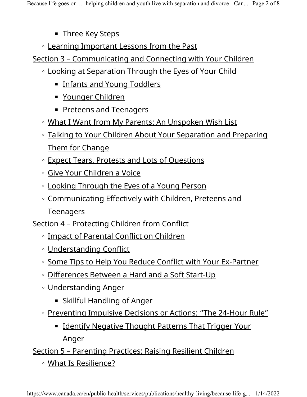- **Example Key Steps**
- Learning Important Lessons from the Past

Section 3 – Communicating and Connecting with Your Children

- Looking at Separation Through the Eyes of Your Child
	- **Infants and Young Toddlers**
	- Younger Children
	- Preteens and Teenagers
- What I Want from My Parents: An Unspoken Wish List
- Talking to Your Children About Your Separation and Preparing Them for Change
- Expect Tears, Protests and Lots of Questions
- Give Your Children a Voice
- Looking Through the Eyes of a Young Person
- Communicating Effectively with Children, Preteens and

**Teenagers** 

Section 4 – Protecting Children from Conflict

- Impact of Parental Conflict on Children
- Understanding Conflict
- Some Tips to Help You Reduce Conflict with Your Ex-Partner
- Differences Between a Hard and a Soft Start-Up
- Understanding Anger
	- Skillful Handling of Anger
- Preventing Impulsive Decisions or Actions: "The 24-Hour Rule"
	- **Example 1 Identify Negative Thought Patterns That Trigger Your** Anger

#### Section 5 – Parenting Practices: Raising Resilient Children

◦ What Is Resilience?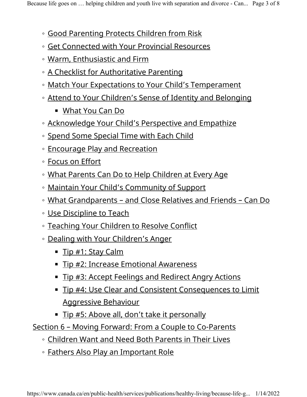- Good Parenting Protects Children from Risk
- Get Connected with Your Provincial Resources
- Warm, Enthusiastic and Firm
- A Checklist for Authoritative Parenting
- Match Your Expectations to Your Child's Temperament
- Attend to Your Children's Sense of Identity and Belonging
	- What You Can Do
- Acknowledge Your Child's Perspective and Empathize
- Spend Some Special Time with Each Child
- Encourage Play and Recreation
- Focus on Effort
- What Parents Can Do to Help Children at Every Age
- Maintain Your Child's Community of Support
- What Grandparents and Close Relatives and Friends Can Do
- Use Discipline to Teach
- Teaching Your Children to Resolve Conflict
- Dealing with Your Children's Anger
	- Tip #1: Stay Calm
	- Tip #2: Increase Emotional Awareness
	- Tip #3: Accept Feelings and Redirect Angry Actions
	- Tip #4: Use Clear and Consistent Consequences to Limit Aggressive Behaviour
	- Tip #5: Above all, don't take it personally

Section 6 – Moving Forward: From a Couple to Co-Parents

- Children Want and Need Both Parents in Their Lives
- Fathers Also Play an Important Role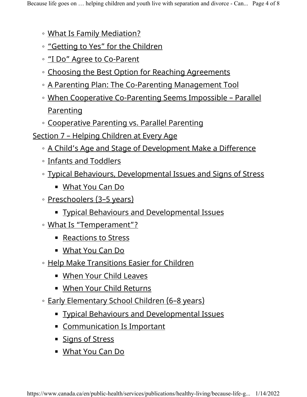- What Is Family Mediation?
- "Getting to Yes" for the Children
- "I Do" Agree to Co-Parent
- Choosing the Best Option for Reaching Agreements
- A Parenting Plan: The Co-Parenting Management Tool
- When Cooperative Co-Parenting Seems Impossible Parallel Parenting
- Cooperative Parenting vs. Parallel Parenting
- Section 7 Helping Children at Every Age
	- A Child's Age and Stage of Development Make a Difference
	- Infants and Toddlers
	- Typical Behaviours, Developmental Issues and Signs of Stress
		- What You Can Do
	- Preschoolers (3–5 years)
		- Typical Behaviours and Developmental Issues
	- What Is "Temperament"?
		- Reactions to Stress
		- What You Can Do
	- Help Make Transitions Easier for Children
		- When Your Child Leaves
		- When Your Child Returns
	- Early Elementary School Children (6–8 years)
		- Typical Behaviours and Developmental Issues
		- **Example 15 Communication Is Important**
		- Signs of Stress
		- What You Can Do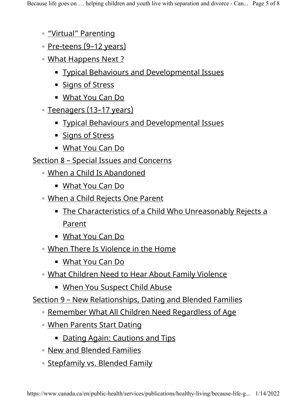- "Virtual" Parenting
- Pre-teens (9–12 years)
- What Happens Next ?
	- **Typical Behaviours and Developmental Issues**
	- Signs of Stress
	- What You Can Do
- Teenagers (13–17 years)
	- **Explore Behaviours and Developmental Issues**
	- Signs of Stress
	- What You Can Do
- Section 8 Special Issues and Concerns
	- When a Child Is Abandoned
		- What You Can Do
	- When a Child Rejects One Parent
		- The Characteristics of a Child Who Unreasonably Rejects a Parent
		- What You Can Do
	- When There Is Violence in the Home
		- What You Can Do
	- What Children Need to Hear About Family Violence
		- When You Suspect Child Abuse

Section 9 – New Relationships, Dating and Blended Families

- Remember What All Children Need Regardless of Age
- When Parents Start Dating
	- **Example 2** Dating Again: Cautions and Tips
- New and Blended Families
- Stepfamily vs. Blended Family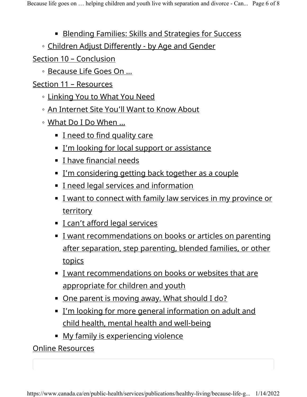- Blending Families: Skills and Strategies for Success
- Children Adjust Differently by Age and Gender

#### Section 10 – Conclusion

◦ Because Life Goes On …

#### Section 11 – Resources

- Linking You to What You Need
- An Internet Site You'll Want to Know About
- What Do I Do When …
	- I need to find quality care
	- **I'm looking for local support or assistance**
	- I have financial needs
	- **<u>I'm considering getting back together as a couple</u>**
	- I need legal services and information
	- **E** I want to connect with family law services in my province or **territory**
	- I can't afford legal services
	- **I** want recommendations on books or articles on parenting after separation, step parenting, blended families, or other topics
	- I want recommendations on books or websites that are appropriate for children and youth
	- One parent is moving away. What should I do?
	- I'm looking for more general information on adult and child health, mental health and well-being
	- My family is experiencing violence

### Online Resources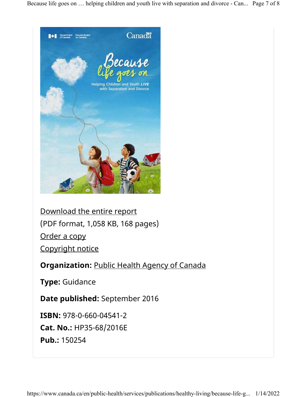Because life goes on … helping children and youth live with separation and divorce - Can... Page 7 of 8



Download the entire report (PDF format, 1,058 KB, 168 pages) Order a copy Copyright notice

Organization: Public Health Agency of Canada

Type: Guidance

Date published: September 2016

ISBN: 978-0-660-04541-2

Cat. No.: HP35-68/2016E

Pub.: 150254